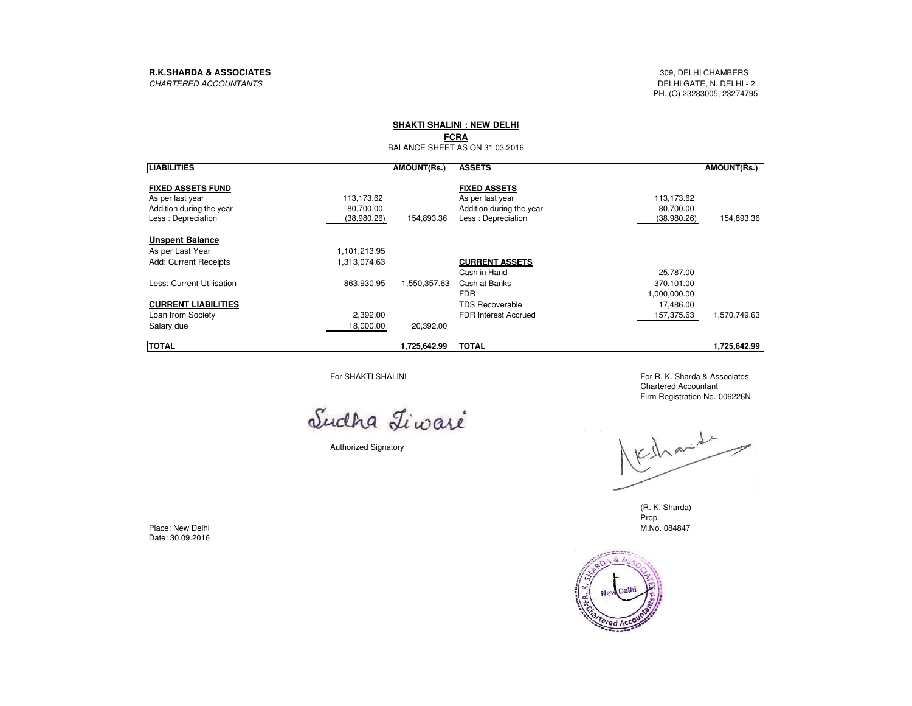### **SHAKTI SHALINI : NEW DELHI**

## **FCRA**

BALANCE SHEET AS ON 31.03.2016

| <b>LIABILITIES</b>                                                                             |                                        | <b>AMOUNT(Rs.)</b> | <b>ASSETS</b>                                                                             |                                        | <b>AMOUNT(Rs.)</b> |
|------------------------------------------------------------------------------------------------|----------------------------------------|--------------------|-------------------------------------------------------------------------------------------|----------------------------------------|--------------------|
| <b>FIXED ASSETS FUND</b><br>As per last year<br>Addition during the year<br>Less: Depreciation | 113,173.62<br>80,700.00<br>(38,980.26) | 154,893.36         | <b>FIXED ASSETS</b><br>As per last year<br>Addition during the year<br>Less: Depreciation | 113,173.62<br>80,700.00<br>(38,980.26) | 154,893.36         |
| <b>Unspent Balance</b>                                                                         |                                        |                    |                                                                                           |                                        |                    |
| As per Last Year                                                                               | 1,101,213.95                           |                    |                                                                                           |                                        |                    |
| <b>Add: Current Receipts</b>                                                                   | 1,313,074.63                           |                    | <b>CURRENT ASSETS</b>                                                                     |                                        |                    |
| Less: Current Utilisation                                                                      |                                        |                    | Cash in Hand                                                                              | 25,787.00                              |                    |
|                                                                                                | 863,930.95                             | 1,550,357.63       | Cash at Banks                                                                             | 370,101.00                             |                    |
|                                                                                                |                                        |                    | <b>FDR</b>                                                                                | 1,000,000.00                           |                    |
| <b>CURRENT LIABILITIES</b>                                                                     |                                        |                    | <b>TDS Recoverable</b>                                                                    | 17,486.00                              |                    |
| Loan from Society                                                                              | 2,392.00                               |                    | <b>FDR Interest Accrued</b>                                                               | 157,375.63                             | 1,570,749.63       |
| Salary due                                                                                     | 18,000.00                              | 20,392.00          |                                                                                           |                                        |                    |
| <b>TOTAL</b>                                                                                   |                                        | 1,725,642.99       | <b>TOTAL</b>                                                                              |                                        | 1,725,642.99       |

For SHAKTI SHALINI

Sudha Liwaré

Authorized Signatory

 For R. K. Sharda & AssociatesChartered AccountantFirm Registration No.-006226N

Vechand

(R. K. Sharda)Prop.M.No. 084847 M.No. 084847



Place: New DelhiDate: 30.09.2016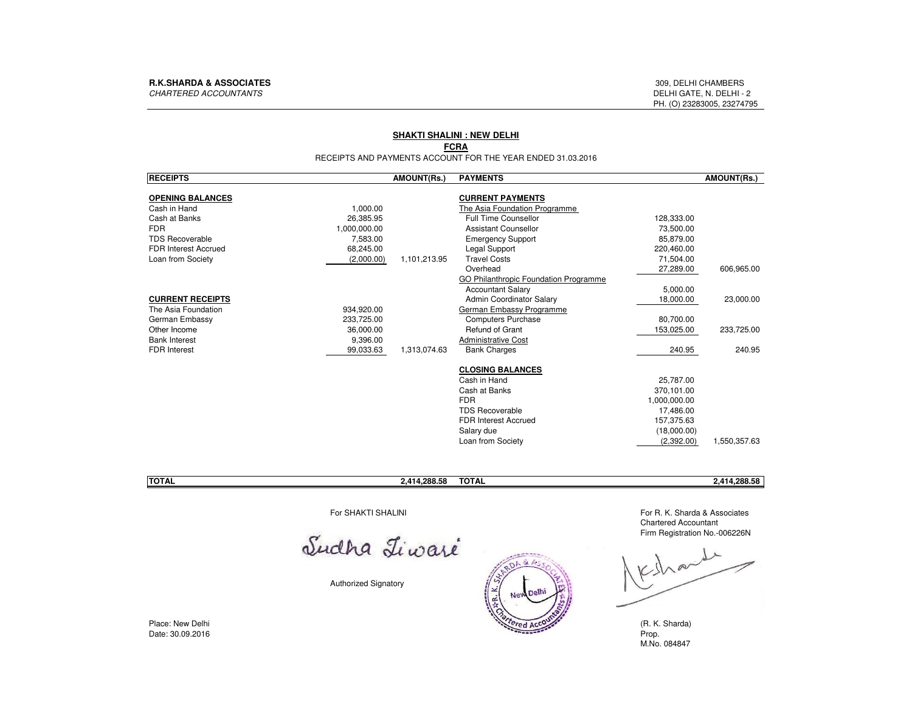### **SHAKTI SHALINI : NEW DELHI**

### **FCRA**

RECEIPTS AND PAYMENTS ACCOUNT FOR THE YEAR ENDED 31.03.2016

| <b>RECEIPTS</b>                          | <b>AMOUNT(Rs.)</b> | <b>PAYMENTS</b>                              |              | <b>AMOUNT(Rs.)</b> |
|------------------------------------------|--------------------|----------------------------------------------|--------------|--------------------|
|                                          |                    |                                              |              |                    |
| <b>OPENING BALANCES</b>                  |                    | <b>CURRENT PAYMENTS</b>                      |              |                    |
| 1,000.00<br>Cash in Hand                 |                    | The Asia Foundation Programme                |              |                    |
| 26,385.95<br>Cash at Banks               |                    | <b>Full Time Counsellor</b>                  | 128,333.00   |                    |
| <b>FDR</b><br>1.000.000.00               |                    | <b>Assistant Counsellor</b>                  | 73,500.00    |                    |
| <b>TDS Recoverable</b><br>7,583.00       |                    | <b>Emergency Support</b>                     | 85,879.00    |                    |
| <b>FDR Interest Accrued</b><br>68.245.00 |                    | Legal Support                                | 220,460.00   |                    |
| Loan from Society<br>(2,000.00)          | 1,101,213.95       | <b>Travel Costs</b>                          | 71,504.00    |                    |
|                                          |                    | Overhead                                     | 27,289.00    | 606,965.00         |
|                                          |                    | <b>GO Philanthropic Foundation Programme</b> |              |                    |
|                                          |                    | <b>Accountant Salary</b>                     | 5,000.00     |                    |
| <b>CURRENT RECEIPTS</b>                  |                    | Admin Coordinator Salary                     | 18,000.00    | 23,000.00          |
| The Asia Foundation<br>934,920.00        |                    | German Embassy Programme                     |              |                    |
| German Embassy<br>233,725.00             |                    | <b>Computers Purchase</b>                    | 80,700.00    |                    |
| Other Income<br>36,000.00                |                    | Refund of Grant                              | 153,025.00   | 233,725.00         |
| <b>Bank Interest</b><br>9,396.00         |                    | <b>Administrative Cost</b>                   |              |                    |
| <b>FDR</b> Interest<br>99,033.63         | 1,313,074.63       | <b>Bank Charges</b>                          | 240.95       | 240.95             |
|                                          |                    | <b>CLOSING BALANCES</b>                      |              |                    |
|                                          |                    | Cash in Hand                                 | 25,787.00    |                    |
|                                          |                    | Cash at Banks                                | 370.101.00   |                    |
|                                          |                    | <b>FDR</b>                                   | 1,000,000.00 |                    |
|                                          |                    | <b>TDS Recoverable</b>                       | 17,486.00    |                    |
|                                          |                    | FDR Interest Accrued                         | 157,375.63   |                    |
|                                          |                    | Salary due                                   | (18,000.00)  |                    |
|                                          |                    | Loan from Society                            | (2,392.00)   | 1,550,357.63       |

# **TOTAL TOTAL 2,414,288.58 2,414,288.58**

For SHAKTI SHALINI

Sudha Tiwaré

Authorized Signatory



 For R. K. Sharda & AssociatesChartered AccountantFirm Registration No.-006226N

leshande

M.No. 084847

Place: New DelhiDate: 30.09.2016